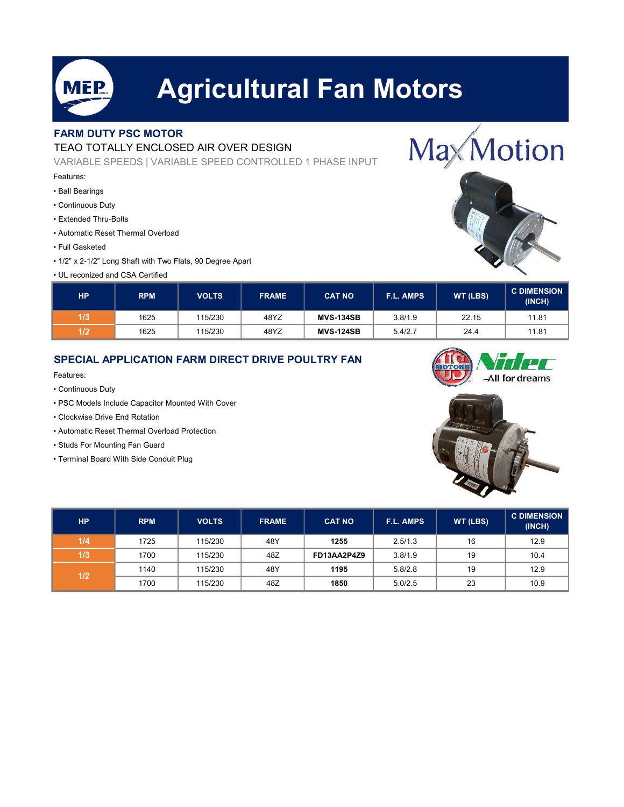

# Agricultural Fan Motors

## FARM DUTY PSC MOTOR

### TEAO TOTALLY ENCLOSED AIR OVER DESIGN

VARIABLE SPEEDS | VARIABLE SPEED CONTROLLED 1 PHASE INPUT

#### Features:

- Ball Bearings
- Continuous Duty
- Extended Thru-Bolts
- Automatic Reset Thermal Overload
- Full Gasketed
- 1/2" x 2-1/2" Long Shaft with Two Flats, 90 Degree Apart
- UL reconized and CSA Certified



| HР  | <b>RPM</b> | <b>VOLTS</b> | <b>FRAME</b> | <b>CAT NO</b>    | <b>F.L. AMPS</b> | <b>WT (LBS)</b> | <b>C DIMENSION</b><br>(INCH) |
|-----|------------|--------------|--------------|------------------|------------------|-----------------|------------------------------|
| 1/3 | 1625       | 115/230      | 48YZ         | <b>MVS-134SB</b> | 3.8/1.9          | 22.15           | 11.81                        |
| 1/2 | 1625       | 115/230      | 48YZ         | <b>MVS-124SB</b> | 5.4/2.7          | 24.4            | 11.81                        |

### SPECIAL APPLICATION FARM DIRECT DRIVE POULTRY FAN

Features:

- Continuous Duty
- PSC Models Include Capacitor Mounted With Cover
- Clockwise Drive End Rotation
- Automatic Reset Thermal Overload Protection
- Studs For Mounting Fan Guard
- Terminal Board With Side Conduit Plug





| <b>HP</b> | <b>RPM</b> | <b>VOLTS</b> | <b>FRAME</b> | <b>CAT NO</b> | F.L. AMPS | WT (LBS) | <b>C DIMENSION</b><br>(INCH) |
|-----------|------------|--------------|--------------|---------------|-----------|----------|------------------------------|
| 1/4       | 1725       | 115/230      | 48Y          | 1255          | 2.5/1.3   | 16       | 12.9                         |
| 1/3       | 1700       | 115/230      | 48Z          | FD13AA2P4Z9   | 3.8/1.9   | 19       | 10.4                         |
| 1/2       | 1140       | 115/230      | 48Y          | 1195          | 5.8/2.8   | 19       | 12.9                         |
|           | 1700       | 115/230      | 48Z          | 1850          | 5.0/2.5   | 23       | 10.9                         |